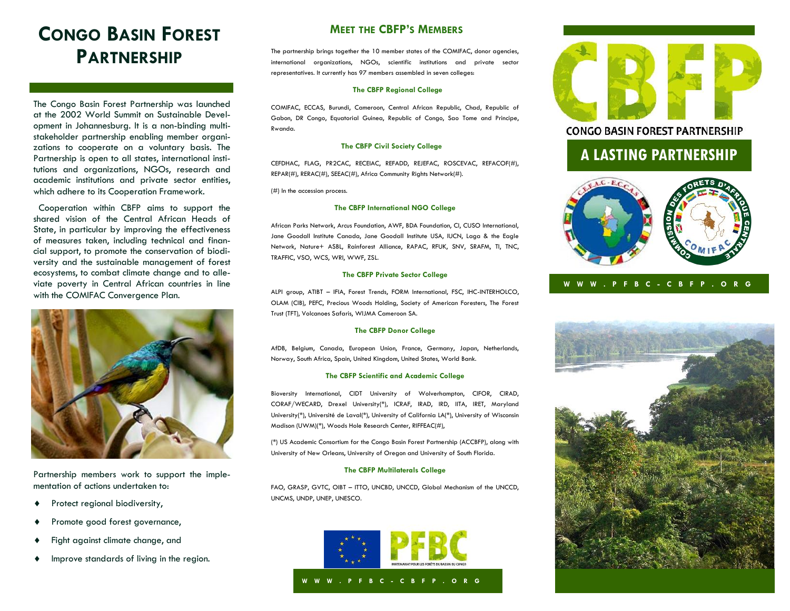# **CONGO BASIN FOREST PARTNERSHIP**

The Congo Basin Forest Partnership was launched at the 2002 World Summit on Sustainable Development in Johannesburg. It is a non-binding multistakeholder partnership enabling member organizations to cooperate on a voluntary basis. The Partnership is open to all states, international institutions and organizations, NGOs, research and academic institutions and private sector entities, which adhere to its Cooperation Framework.

 Cooperation within CBFP aims to support the shared vision of the Central African Heads of State, in particular by improving the effectiveness of measures taken, including technical and financial support, to promote the conservation of biodiversity and the sustainable management of forest ecosystems, to combat climate change and to alleviate poverty in Central African countries in line with the COMIFAC Convergence Plan.



Partnership members work to support the implementation of actions undertaken to:

- **+** Protect regional biodiversity,
- Promote good forest governance,
- Fight against climate change, and
- $\bullet$  Improve standards of living in the region.

# **MEET THE CBFP'S MEMBERS**

The partnership brings together the 10 member states of the COMIFAC, donor agencies, international organizations, NGOs, scientific institutions and private sector representatives. It currently has 97 members assembled in seven colleges:

#### **The CBFP Regional College**

COMIFAC, ECCAS, Burundi, Cameroon, Central African Republic, Chad, Republic of Gabon, DR Congo, Equatorial Guinea, Republic of Congo, Sao Tome and Principe, Rwanda.

#### **The CBFP Civil Society College**

CEFDHAC, FLAG, PR2CAC, RECEIAC, REFADD, REJEFAC, ROSCEVAC, REFACOF(#), REPAR(#), RERAC(#), SEEAC(#), Africa Community Rights Network(#).

(#) In the accession process.

#### **The CBFP International NGO College**

African Parks Network, Arcus Foundation, AWF, BDA Foundation, CI, CUSO International, Jane Goodall Institute Canada, Jane Goodall Institute USA, IUCN, Laga & the Eagle Network, Nature+ ASBL, Rainforest Alliance, RAPAC, RFUK, SNV, SRAFM, TI, TNC, TRAFFIC, VSO, WCS, WRI, WWF, ZSL.

#### **The CBFP Private Sector College**

ALPI group, ATIBT – IFIA, Forest Trends, FORM International, FSC, IHC-INTERHOLCO, OLAM (CIB), PEFC, Precious Woods Holding, Society of American Foresters, The Forest Trust (TFT), Volcanoes Safaris, WIJMA Cameroon SA.

### **The CBFP Donor College**

AfDB, Belgium, Canada, European Union, France, Germany, Japan, Netherlands, Norway, South Africa, Spain, United Kingdom, United States, World Bank.

#### **The CBFP Scientific and Academic College**

Bioversity International, CIDT University of Wolverhampton, CIFOR, CIRAD, CORAF/WECARD, Drexel University(\*), ICRAF, IRAD, IRD, IITA, IRET, Maryland University(\*), Université de Laval(\*), University of California LA(\*), University of Wisconsin Madison (UWM)(\*), Woods Hole Research Center, RIFFEAC(#),

(\*) US Academic Consortium for the Congo Basin Forest Partnership (ACCBFP), along with University of New Orleans, University of Oregon and University of South Florida.

### **The CBFP Multilaterals College**

FAO, GRASP, GVTC, OIBT – ITTO, UNCBD, UNCCD, Global Mechanism of the UNCCD, UNCMS, UNDP, UNEP, UNESCO.





## **CONGO BASIN FOREST PARTNERSHIP**

# **A LASTING PARTNERSHIP**



## **W W W . P F B C - C B F P . O R G**